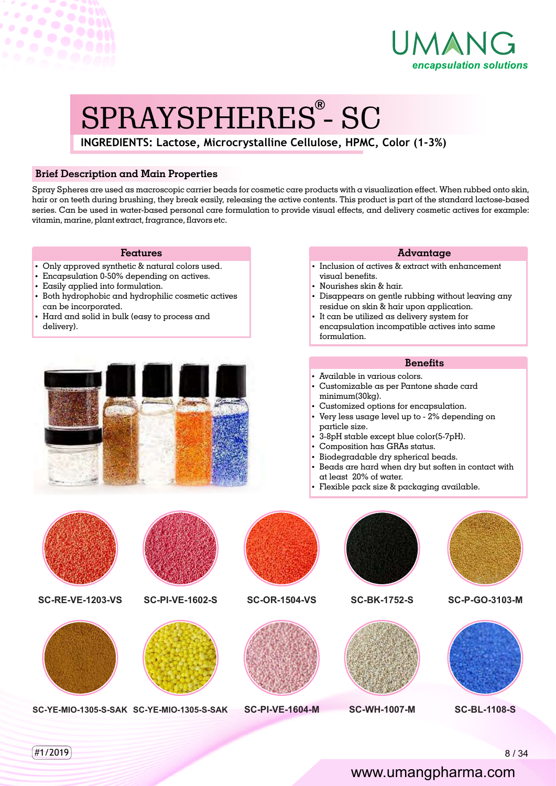

# SPRAYSPHERES - SC **®**

**INGREDIENTS: Lactose, Microcrystalline Cellulose, HPMC, Color (1-3%)** 

## **Brief Description and Main Properties**

Spray Spheres are used as macroscopic carrier beads for cosmetic care products with a visualization effect. When rubbed onto skin, hair or on teeth during brushing, they break easily, releasing the active contents. This product is part of the standard lactose-based series. Can be used in water-based personal care formulation to provide visual effects, and delivery cosmetic actives for example: vitamin, marine, plant extract, fragrance, flavors etc.

#### **Features**

- Only approved synthetic & natural colors used.
- Encapsulation 0-50% depending on actives.
- Easily applied into formulation.

 $\sigma$ 

- Both hydrophobic and hydrophilic cosmetic actives can be incorporated.
- Hard and solid in bulk (easy to process and delivery).



#### **Advantage**

- $\cdot$  Inclusion of actives & extract with enhancement visual benefits.
- Nourishes skin & hair.
- Disappears on gentle rubbing without leaving any residue on skin & hair upon application.
- It can be utilized as delivery system for encapsulation incompatible actives into same formulation.

### **Benets**

- Available in various colors.
- Customizable as per Pantone shade card minimum(30kg).
- Customized options for encapsulation.
- $\cdot$  Very less usage level up to 2% depending on particle size.
- $\cdot$  3-8pH stable except blue color(5-7pH).
- Composition has GRAs status.
- Biodegradable dry spherical beads.
- Beads are hard when dry but soften in contact with at least 20% of water.
- $\cdot$  Flexible pack size & packaging available.



www.umangpharma.com

 $\left( 41/2019\right)$